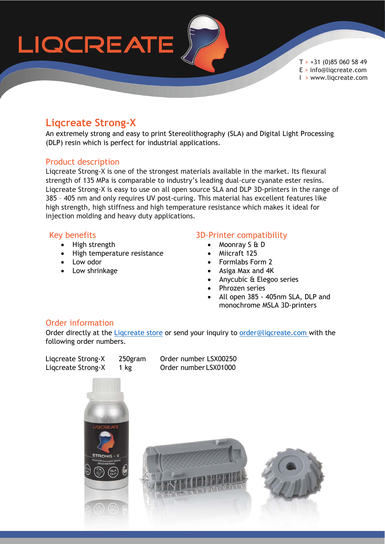

 $T > +31$  (0)85 060 58 49 E > info@liqcreate.com I > www.liqcreate.com

### **Liqcreate Strong-X**

An extremely strong and easy to print Stereolithography (SLA) and Digital Light Processing (DLP) resin which is perfect for industrial applications.

#### Product description

Liqcreate Strong-X is one of the strongest materials available in the market. Its flexural strength of 135 MPa is comparable to industry's leading dual-cure cyanate ester resins. Liqcreate Strong-X is easy to use on all open source SLA and DLP 3D-printers in the range of 385 – 405 nm and only requires UV post-curing. This material has excellent features like high strength, high stiffness and high temperature resistance which makes it ideal for injection molding and heavy duty applications.

#### Key benefits

- High strength
- High temperature resistance
- Low odor
- Low shrinkage

#### 3D-Printer compatibility

- Moonray S & D
- Miicraft 125
- Formlabs Form 2
- Asiga Max and 4K
- Anycubic & Elegoo series
- Phrozen series
- All open 385 405nm SLA, DLP and monochrome MSLA 3D-printers

#### Order information

Order directly at the Ligcreate store or send your inquiry to order@ligcreate.com with the following order numbers.

Liqcreate Strong-X 250gram Order number LSX00250 Liqcreate Strong-X 1 kg Order number LSX01000

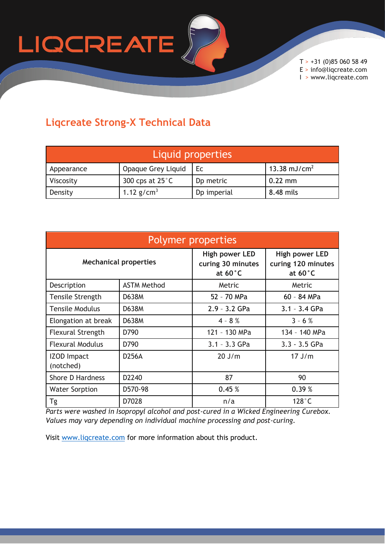

 $T > +31$  (0)85 060 58 49 E > info@liqcreate.com I > www.liqcreate.com

## **Liqcreate Strong-X Technical Data**

| Liquid properties |                           |                       |                          |  |  |
|-------------------|---------------------------|-----------------------|--------------------------|--|--|
| Appearance        | Opaque Grey Liquid        | Ec.                   | 13.38 mJ/cm <sup>2</sup> |  |  |
| Viscosity         | 300 cps at $25^{\circ}$ C | D <sub>p</sub> metric | $0.22$ mm                |  |  |
| Density           | 1.12 $g/cm^3$             | Dp imperial           | 8.48 mils                |  |  |

| Polymer properties              |                    |                                                                 |                                                           |  |  |
|---------------------------------|--------------------|-----------------------------------------------------------------|-----------------------------------------------------------|--|--|
| <b>Mechanical properties</b>    |                    | <b>High power LED</b><br>curing 30 minutes<br>at $60^{\circ}$ C | High power LED<br>curing 120 minutes<br>at $60^{\circ}$ C |  |  |
| Description                     | <b>ASTM Method</b> | Metric                                                          | Metric                                                    |  |  |
| <b>Tensile Strength</b>         | D638M              | 52 - 70 MPa                                                     | 60 - 84 MPa                                               |  |  |
| <b>Tensile Modulus</b>          | <b>D638M</b>       | $2.9 - 3.2$ GPa                                                 | $3.1 - 3.4$ GPa                                           |  |  |
| Elongation at break             | D638M              | $4 - 8 %$                                                       | $3 - 6 %$                                                 |  |  |
| <b>Flexural Strength</b>        | D790               | 121 - 130 MPa                                                   | 134 - 140 MPa                                             |  |  |
| <b>Flexural Modulus</b>         | D790               | $3.1 - 3.3$ GPa                                                 | $3.3 - 3.5$ GPa                                           |  |  |
| <b>IZOD Impact</b><br>(notched) | <b>D256A</b>       | $20$ J/m                                                        | $17$ J/m                                                  |  |  |
| <b>Shore D Hardness</b>         | D2240              | 87                                                              | 90                                                        |  |  |
| <b>Water Sorption</b>           | D570-98            | 0.45%                                                           | 0.39%                                                     |  |  |
| Tg                              | D7028              | n/a                                                             | $128^\circ C$                                             |  |  |

*Parts were washed in Isopropyl alcohol and post-cured in a Wicked Engineering Curebox. Values may vary depending on individual machine processing and post-curing.*

Visit [www.liqcreate.com](http://www.liqcreate.com/) for more information about this product.